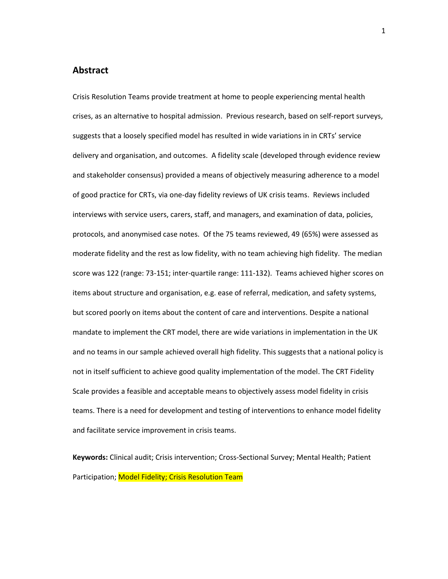# **Abstract**

Crisis Resolution Teams provide treatment at home to people experiencing mental health crises, as an alternative to hospital admission. Previous research, based on self-report surveys, suggests that a loosely specified model has resulted in wide variations in in CRTs' service delivery and organisation, and outcomes. A fidelity scale (developed through evidence review and stakeholder consensus) provided a means of objectively measuring adherence to a model of good practice for CRTs, via one-day fidelity reviews of UK crisis teams. Reviews included interviews with service users, carers, staff, and managers, and examination of data, policies, protocols, and anonymised case notes. Of the 75 teams reviewed, 49 (65%) were assessed as moderate fidelity and the rest as low fidelity, with no team achieving high fidelity. The median score was 122 (range: 73-151; inter-quartile range: 111-132). Teams achieved higher scores on items about structure and organisation, e.g. ease of referral, medication, and safety systems, but scored poorly on items about the content of care and interventions. Despite a national mandate to implement the CRT model, there are wide variations in implementation in the UK and no teams in our sample achieved overall high fidelity. This suggests that a national policy is not in itself sufficient to achieve good quality implementation of the model. The CRT Fidelity Scale provides a feasible and acceptable means to objectively assess model fidelity in crisis teams. There is a need for development and testing of interventions to enhance model fidelity and facilitate service improvement in crisis teams.

**Keywords:** Clinical audit; Crisis intervention; Cross-Sectional Survey; Mental Health; Patient Participation; Model Fidelity; Crisis Resolution Team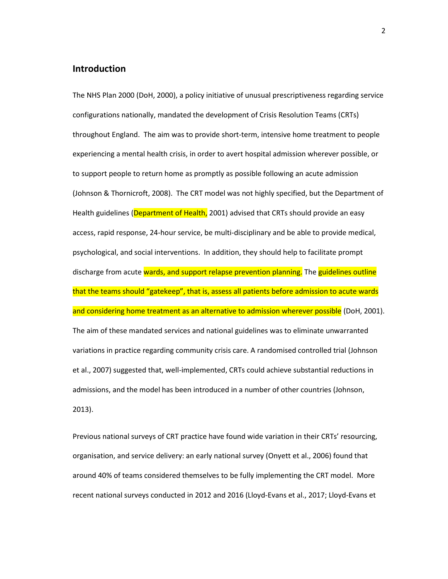## **Introduction**

The NHS Plan 2000 (DoH, 2000), a policy initiative of unusual prescriptiveness regarding service configurations nationally, mandated the development of Crisis Resolution Teams (CRTs) throughout England. The aim was to provide short-term, intensive home treatment to people experiencing a mental health crisis, in order to avert hospital admission wherever possible, or to support people to return home as promptly as possible following an acute admission (Johnson & Thornicroft, 2008). The CRT model was not highly specified, but the Department of Health guidelines (Department of Health, 2001) advised that CRTs should provide an easy access, rapid response, 24-hour service, be multi-disciplinary and be able to provide medical, psychological, and social interventions. In addition, they should help to facilitate prompt discharge from acute wards, and support relapse prevention planning. The guidelines outline that the teams should "gatekeep", that is, assess all patients before admission to acute wards and considering home treatment as an alternative to admission wherever possible (DoH, 2001). The aim of these mandated services and national guidelines was to eliminate unwarranted variations in practice regarding community crisis care. A randomised controlled trial (Johnson et al., 2007) suggested that, well-implemented, CRTs could achieve substantial reductions in admissions, and the model has been introduced in a number of other countries (Johnson, 2013).

Previous national surveys of CRT practice have found wide variation in their CRTs' resourcing, organisation, and service delivery: an early national survey (Onyett et al., 2006) found that around 40% of teams considered themselves to be fully implementing the CRT model. More recent national surveys conducted in 2012 and 2016 (Lloyd-Evans et al., 2017; Lloyd-Evans et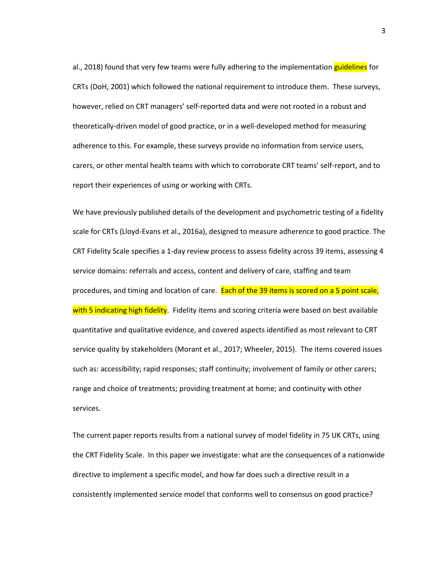al., 2018) found that very few teams were fully adhering to the implementation guidelines for CRTs (DoH, 2001) which followed the national requirement to introduce them. These surveys, however, relied on CRT managers' self-reported data and were not rooted in a robust and theoretically-driven model of good practice, or in a well-developed method for measuring adherence to this. For example, these surveys provide no information from service users, carers, or other mental health teams with which to corroborate CRT teams' self-report, and to report their experiences of using or working with CRTs.

We have previously published details of the development and psychometric testing of a fidelity scale for CRTs (Lloyd-Evans et al., 2016a), designed to measure adherence to good practice. The CRT Fidelity Scale specifies a 1-day review process to assess fidelity across 39 items, assessing 4 service domains: referrals and access, content and delivery of care, staffing and team procedures, and timing and location of care. Each of the 39 items is scored on a 5 point scale, with 5 indicating high fidelity. Fidelity items and scoring criteria were based on best available quantitative and qualitative evidence, and covered aspects identified as most relevant to CRT service quality by stakeholders (Morant et al., 2017; Wheeler, 2015). The items covered issues such as: accessibility; rapid responses; staff continuity; involvement of family or other carers; range and choice of treatments; providing treatment at home; and continuity with other services.

The current paper reports results from a national survey of model fidelity in 75 UK CRTs, using the CRT Fidelity Scale. In this paper we investigate: what are the consequences of a nationwide directive to implement a specific model, and how far does such a directive result in a consistently implemented service model that conforms well to consensus on good practice?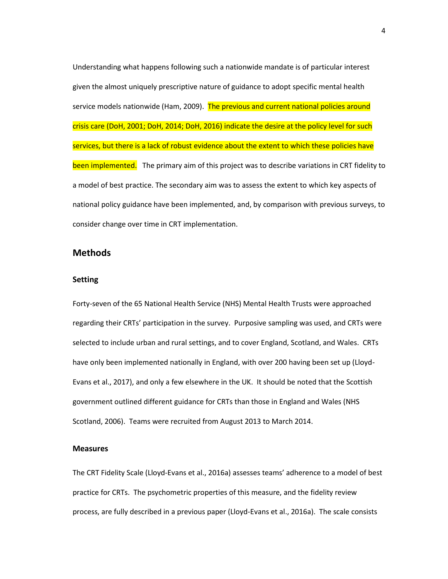Understanding what happens following such a nationwide mandate is of particular interest given the almost uniquely prescriptive nature of guidance to adopt specific mental health service models nationwide (Ham, 2009). The previous and current national policies around crisis care (DoH, 2001; DoH, 2014; DoH, 2016) indicate the desire at the policy level for such services, but there is a lack of robust evidence about the extent to which these policies have been implemented. The primary aim of this project was to describe variations in CRT fidelity to a model of best practice. The secondary aim was to assess the extent to which key aspects of national policy guidance have been implemented, and, by comparison with previous surveys, to consider change over time in CRT implementation.

# **Methods**

#### **Setting**

Forty-seven of the 65 National Health Service (NHS) Mental Health Trusts were approached regarding their CRTs' participation in the survey. Purposive sampling was used, and CRTs were selected to include urban and rural settings, and to cover England, Scotland, and Wales. CRTs have only been implemented nationally in England, with over 200 having been set up (Lloyd-Evans et al., 2017), and only a few elsewhere in the UK. It should be noted that the Scottish government outlined different guidance for CRTs than those in England and Wales (NHS Scotland, 2006). Teams were recruited from August 2013 to March 2014.

#### **Measures**

The CRT Fidelity Scale (Lloyd-Evans et al., 2016a) assesses teams' adherence to a model of best practice for CRTs. The psychometric properties of this measure, and the fidelity review process, are fully described in a previous paper (Lloyd-Evans et al., 2016a). The scale consists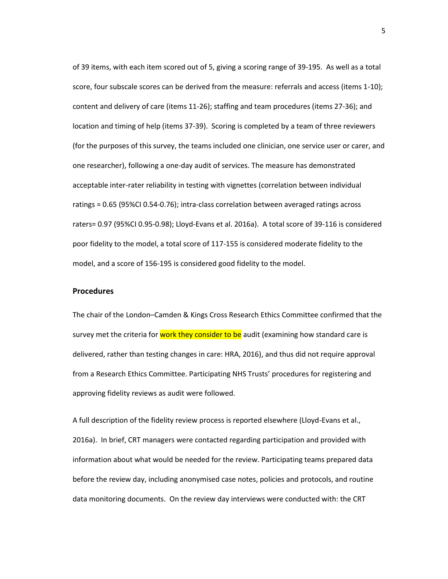of 39 items, with each item scored out of 5, giving a scoring range of 39-195. As well as a total score, four subscale scores can be derived from the measure: referrals and access (items 1-10); content and delivery of care (items 11-26); staffing and team procedures (items 27-36); and location and timing of help (items 37-39). Scoring is completed by a team of three reviewers (for the purposes of this survey, the teams included one clinician, one service user or carer, and one researcher), following a one-day audit of services. The measure has demonstrated acceptable inter-rater reliability in testing with vignettes (correlation between individual ratings = 0.65 (95%CI 0.54-0.76); intra-class correlation between averaged ratings across raters= 0.97 (95%CI 0.95-0.98); Lloyd-Evans et al. 2016a). A total score of 39-116 is considered poor fidelity to the model, a total score of 117-155 is considered moderate fidelity to the model, and a score of 156-195 is considered good fidelity to the model.

#### **Procedures**

The chair of the London–Camden & Kings Cross Research Ethics Committee confirmed that the survey met the criteria for work they consider to be audit (examining how standard care is delivered, rather than testing changes in care: HRA, 2016), and thus did not require approval from a Research Ethics Committee. Participating NHS Trusts' procedures for registering and approving fidelity reviews as audit were followed.

A full description of the fidelity review process is reported elsewhere (Lloyd-Evans et al., 2016a). In brief, CRT managers were contacted regarding participation and provided with information about what would be needed for the review. Participating teams prepared data before the review day, including anonymised case notes, policies and protocols, and routine data monitoring documents. On the review day interviews were conducted with: the CRT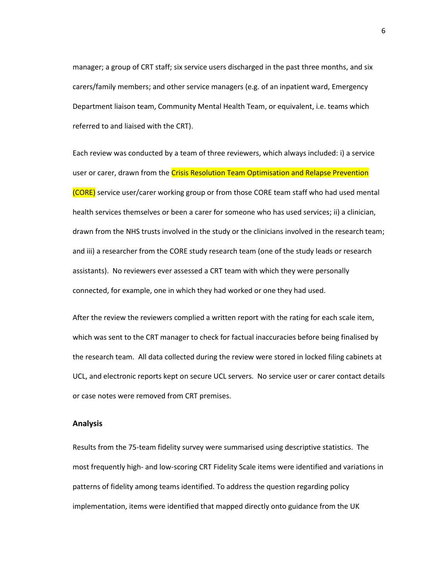manager; a group of CRT staff; six service users discharged in the past three months, and six carers/family members; and other service managers (e.g. of an inpatient ward, Emergency Department liaison team, Community Mental Health Team, or equivalent, i.e. teams which referred to and liaised with the CRT).

Each review was conducted by a team of three reviewers, which always included: i) a service user or carer, drawn from the Crisis Resolution Team Optimisation and Relapse Prevention (CORE) service user/carer working group or from those CORE team staff who had used mental health services themselves or been a carer for someone who has used services; ii) a clinician, drawn from the NHS trusts involved in the study or the clinicians involved in the research team; and iii) a researcher from the CORE study research team (one of the study leads or research assistants). No reviewers ever assessed a CRT team with which they were personally connected, for example, one in which they had worked or one they had used.

After the review the reviewers complied a written report with the rating for each scale item, which was sent to the CRT manager to check for factual inaccuracies before being finalised by the research team. All data collected during the review were stored in locked filing cabinets at UCL, and electronic reports kept on secure UCL servers. No service user or carer contact details or case notes were removed from CRT premises.

#### **Analysis**

Results from the 75-team fidelity survey were summarised using descriptive statistics. The most frequently high- and low-scoring CRT Fidelity Scale items were identified and variations in patterns of fidelity among teams identified. To address the question regarding policy implementation, items were identified that mapped directly onto guidance from the UK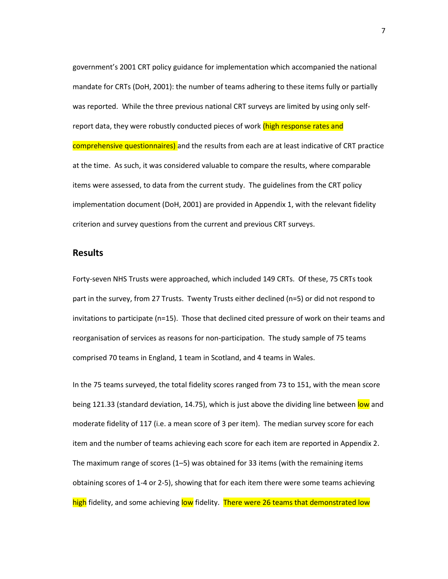government's 2001 CRT policy guidance for implementation which accompanied the national mandate for CRTs (DoH, 2001): the number of teams adhering to these items fully or partially was reported. While the three previous national CRT surveys are limited by using only selfreport data, they were robustly conducted pieces of work (high response rates and comprehensive questionnaires) and the results from each are at least indicative of CRT practice at the time. As such, it was considered valuable to compare the results, where comparable items were assessed, to data from the current study. The guidelines from the CRT policy implementation document (DoH, 2001) are provided in Appendix 1, with the relevant fidelity criterion and survey questions from the current and previous CRT surveys.

# **Results**

Forty-seven NHS Trusts were approached, which included 149 CRTs. Of these, 75 CRTs took part in the survey, from 27 Trusts. Twenty Trusts either declined (n=5) or did not respond to invitations to participate (n=15). Those that declined cited pressure of work on their teams and reorganisation of services as reasons for non-participation. The study sample of 75 teams comprised 70 teams in England, 1 team in Scotland, and 4 teams in Wales.

In the 75 teams surveyed, the total fidelity scores ranged from 73 to 151, with the mean score being 121.33 (standard deviation, 14.75), which is just above the dividing line between low and moderate fidelity of 117 (i.e. a mean score of 3 per item). The median survey score for each item and the number of teams achieving each score for each item are reported in Appendix 2. The maximum range of scores (1–5) was obtained for 33 items (with the remaining items obtaining scores of 1-4 or 2-5), showing that for each item there were some teams achieving high fidelity, and some achieving low fidelity. There were 26 teams that demonstrated low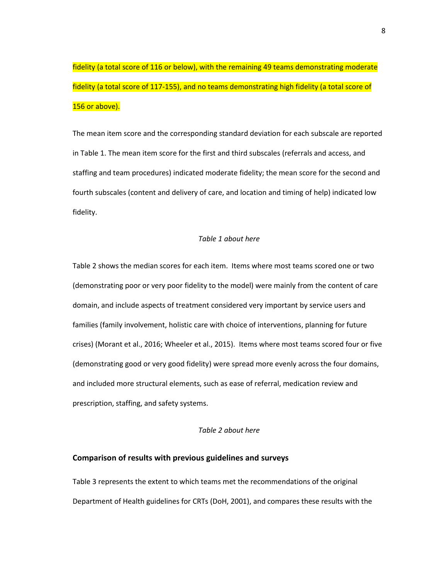fidelity (a total score of 116 or below), with the remaining 49 teams demonstrating moderate fidelity (a total score of 117-155), and no teams demonstrating high fidelity (a total score of 156 or above).

The mean item score and the corresponding standard deviation for each subscale are reported in Table 1. The mean item score for the first and third subscales (referrals and access, and staffing and team procedures) indicated moderate fidelity; the mean score for the second and fourth subscales (content and delivery of care, and location and timing of help) indicated low fidelity.

#### *Table 1 about here*

Table 2 shows the median scores for each item. Items where most teams scored one or two (demonstrating poor or very poor fidelity to the model) were mainly from the content of care domain, and include aspects of treatment considered very important by service users and families (family involvement, holistic care with choice of interventions, planning for future crises) (Morant et al., 2016; Wheeler et al., 2015). Items where most teams scored four or five (demonstrating good or very good fidelity) were spread more evenly across the four domains, and included more structural elements, such as ease of referral, medication review and prescription, staffing, and safety systems.

#### *Table 2 about here*

#### **Comparison of results with previous guidelines and surveys**

Table 3 represents the extent to which teams met the recommendations of the original Department of Health guidelines for CRTs (DoH, 2001), and compares these results with the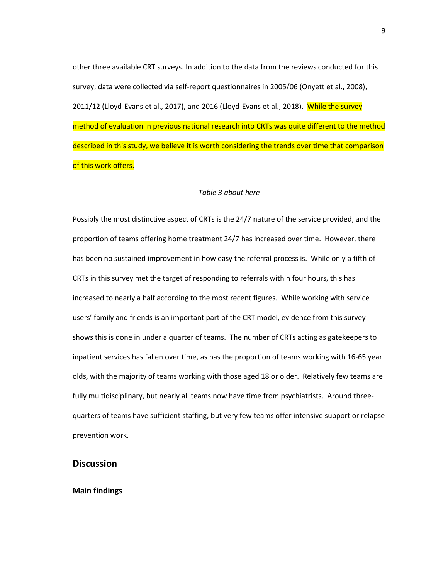other three available CRT surveys. In addition to the data from the reviews conducted for this survey, data were collected via self-report questionnaires in 2005/06 (Onyett et al., 2008), 2011/12 (Lloyd-Evans et al., 2017), and 2016 (Lloyd-Evans et al., 2018). While the survey method of evaluation in previous national research into CRTs was quite different to the method described in this study, we believe it is worth considering the trends over time that comparison of this work offers.

#### *Table 3 about here*

Possibly the most distinctive aspect of CRTs is the 24/7 nature of the service provided, and the proportion of teams offering home treatment 24/7 has increased over time. However, there has been no sustained improvement in how easy the referral process is. While only a fifth of CRTs in this survey met the target of responding to referrals within four hours, this has increased to nearly a half according to the most recent figures. While working with service users' family and friends is an important part of the CRT model, evidence from this survey shows this is done in under a quarter of teams. The number of CRTs acting as gatekeepers to inpatient services has fallen over time, as has the proportion of teams working with 16-65 year olds, with the majority of teams working with those aged 18 or older. Relatively few teams are fully multidisciplinary, but nearly all teams now have time from psychiatrists. Around threequarters of teams have sufficient staffing, but very few teams offer intensive support or relapse prevention work.

# **Discussion**

### **Main findings**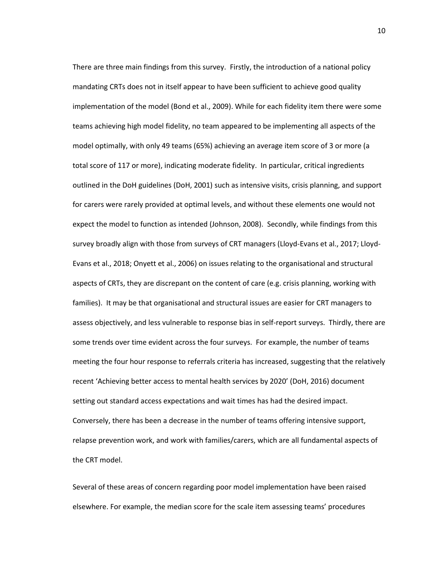There are three main findings from this survey. Firstly, the introduction of a national policy mandating CRTs does not in itself appear to have been sufficient to achieve good quality implementation of the model (Bond et al., 2009). While for each fidelity item there were some teams achieving high model fidelity, no team appeared to be implementing all aspects of the model optimally, with only 49 teams (65%) achieving an average item score of 3 or more (a total score of 117 or more), indicating moderate fidelity. In particular, critical ingredients outlined in the DoH guidelines (DoH, 2001) such as intensive visits, crisis planning, and support for carers were rarely provided at optimal levels, and without these elements one would not expect the model to function as intended (Johnson, 2008). Secondly, while findings from this survey broadly align with those from surveys of CRT managers (Lloyd-Evans et al., 2017; Lloyd-Evans et al., 2018; Onyett et al., 2006) on issues relating to the organisational and structural aspects of CRTs, they are discrepant on the content of care (e.g. crisis planning, working with families). It may be that organisational and structural issues are easier for CRT managers to assess objectively, and less vulnerable to response bias in self-report surveys. Thirdly, there are some trends over time evident across the four surveys. For example, the number of teams meeting the four hour response to referrals criteria has increased, suggesting that the relatively recent 'Achieving better access to mental health services by 2020' (DoH, 2016) document setting out standard access expectations and wait times has had the desired impact. Conversely, there has been a decrease in the number of teams offering intensive support, relapse prevention work, and work with families/carers, which are all fundamental aspects of the CRT model.

Several of these areas of concern regarding poor model implementation have been raised elsewhere. For example, the median score for the scale item assessing teams' procedures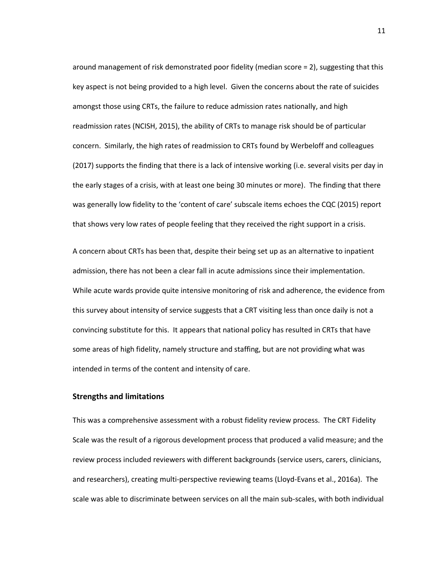around management of risk demonstrated poor fidelity (median score = 2), suggesting that this key aspect is not being provided to a high level. Given the concerns about the rate of suicides amongst those using CRTs, the failure to reduce admission rates nationally, and high readmission rates (NCISH, 2015), the ability of CRTs to manage risk should be of particular concern. Similarly, the high rates of readmission to CRTs found by Werbeloff and colleagues (2017) supports the finding that there is a lack of intensive working (i.e. several visits per day in the early stages of a crisis, with at least one being 30 minutes or more). The finding that there was generally low fidelity to the 'content of care' subscale items echoes the CQC (2015) report that shows very low rates of people feeling that they received the right support in a crisis.

A concern about CRTs has been that, despite their being set up as an alternative to inpatient admission, there has not been a clear fall in acute admissions since their implementation. While acute wards provide quite intensive monitoring of risk and adherence, the evidence from this survey about intensity of service suggests that a CRT visiting less than once daily is not a convincing substitute for this. It appears that national policy has resulted in CRTs that have some areas of high fidelity, namely structure and staffing, but are not providing what was intended in terms of the content and intensity of care.

#### **Strengths and limitations**

This was a comprehensive assessment with a robust fidelity review process. The CRT Fidelity Scale was the result of a rigorous development process that produced a valid measure; and the review process included reviewers with different backgrounds (service users, carers, clinicians, and researchers), creating multi-perspective reviewing teams (Lloyd-Evans et al., 2016a). The scale was able to discriminate between services on all the main sub-scales, with both individual

11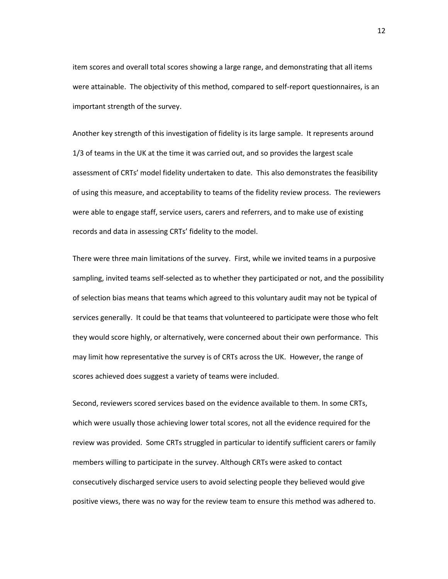item scores and overall total scores showing a large range, and demonstrating that all items were attainable. The objectivity of this method, compared to self-report questionnaires, is an important strength of the survey.

Another key strength of this investigation of fidelity is its large sample. It represents around 1/3 of teams in the UK at the time it was carried out, and so provides the largest scale assessment of CRTs' model fidelity undertaken to date. This also demonstrates the feasibility of using this measure, and acceptability to teams of the fidelity review process. The reviewers were able to engage staff, service users, carers and referrers, and to make use of existing records and data in assessing CRTs' fidelity to the model.

There were three main limitations of the survey. First, while we invited teams in a purposive sampling, invited teams self-selected as to whether they participated or not, and the possibility of selection bias means that teams which agreed to this voluntary audit may not be typical of services generally. It could be that teams that volunteered to participate were those who felt they would score highly, or alternatively, were concerned about their own performance. This may limit how representative the survey is of CRTs across the UK. However, the range of scores achieved does suggest a variety of teams were included.

Second, reviewers scored services based on the evidence available to them. In some CRTs, which were usually those achieving lower total scores, not all the evidence required for the review was provided. Some CRTs struggled in particular to identify sufficient carers or family members willing to participate in the survey. Although CRTs were asked to contact consecutively discharged service users to avoid selecting people they believed would give positive views, there was no way for the review team to ensure this method was adhered to.

12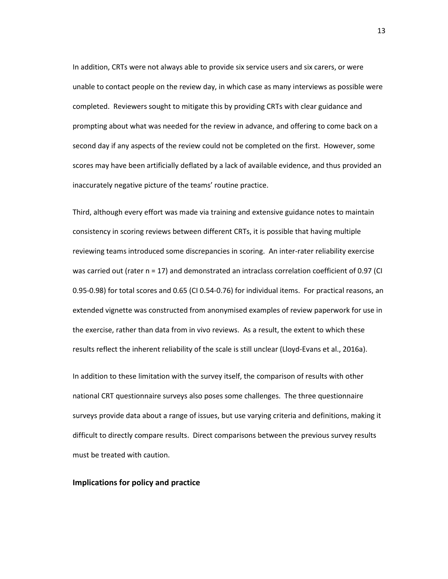In addition, CRTs were not always able to provide six service users and six carers, or were unable to contact people on the review day, in which case as many interviews as possible were completed. Reviewers sought to mitigate this by providing CRTs with clear guidance and prompting about what was needed for the review in advance, and offering to come back on a second day if any aspects of the review could not be completed on the first. However, some scores may have been artificially deflated by a lack of available evidence, and thus provided an inaccurately negative picture of the teams' routine practice.

Third, although every effort was made via training and extensive guidance notes to maintain consistency in scoring reviews between different CRTs, it is possible that having multiple reviewing teams introduced some discrepancies in scoring. An inter-rater reliability exercise was carried out (rater n = 17) and demonstrated an intraclass correlation coefficient of 0.97 (CI 0.95-0.98) for total scores and 0.65 (CI 0.54-0.76) for individual items. For practical reasons, an extended vignette was constructed from anonymised examples of review paperwork for use in the exercise, rather than data from in vivo reviews. As a result, the extent to which these results reflect the inherent reliability of the scale is still unclear (Lloyd-Evans et al., 2016a).

In addition to these limitation with the survey itself, the comparison of results with other national CRT questionnaire surveys also poses some challenges. The three questionnaire surveys provide data about a range of issues, but use varying criteria and definitions, making it difficult to directly compare results. Direct comparisons between the previous survey results must be treated with caution.

#### **Implications for policy and practice**

13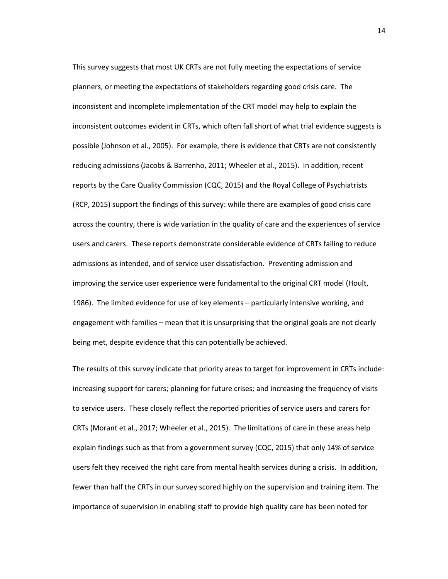This survey suggests that most UK CRTs are not fully meeting the expectations of service planners, or meeting the expectations of stakeholders regarding good crisis care. The inconsistent and incomplete implementation of the CRT model may help to explain the inconsistent outcomes evident in CRTs, which often fall short of what trial evidence suggests is possible (Johnson et al., 2005). For example, there is evidence that CRTs are not consistently reducing admissions (Jacobs & Barrenho, 2011; Wheeler et al., 2015). In addition, recent reports by the Care Quality Commission (CQC, 2015) and the Royal College of Psychiatrists (RCP, 2015) support the findings of this survey: while there are examples of good crisis care across the country, there is wide variation in the quality of care and the experiences of service users and carers. These reports demonstrate considerable evidence of CRTs failing to reduce admissions as intended, and of service user dissatisfaction. Preventing admission and improving the service user experience were fundamental to the original CRT model (Hoult, 1986). The limited evidence for use of key elements – particularly intensive working, and engagement with families – mean that it is unsurprising that the original goals are not clearly being met, despite evidence that this can potentially be achieved.

The results of this survey indicate that priority areas to target for improvement in CRTs include: increasing support for carers; planning for future crises; and increasing the frequency of visits to service users. These closely reflect the reported priorities of service users and carers for CRTs (Morant et al., 2017; Wheeler et al., 2015). The limitations of care in these areas help explain findings such as that from a government survey (CQC, 2015) that only 14% of service users felt they received the right care from mental health services during a crisis. In addition, fewer than half the CRTs in our survey scored highly on the supervision and training item. The importance of supervision in enabling staff to provide high quality care has been noted for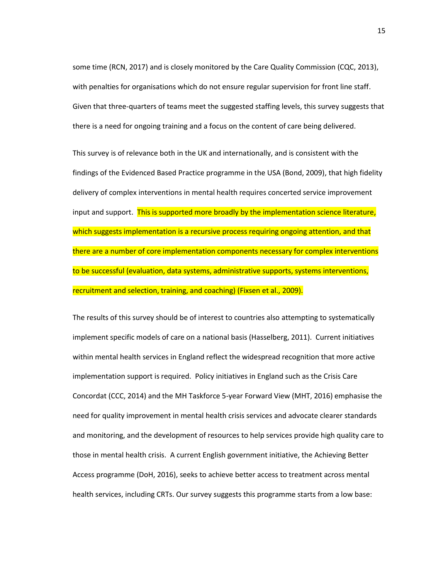some time (RCN, 2017) and is closely monitored by the Care Quality Commission (CQC, 2013), with penalties for organisations which do not ensure regular supervision for front line staff. Given that three-quarters of teams meet the suggested staffing levels, this survey suggests that there is a need for ongoing training and a focus on the content of care being delivered.

This survey is of relevance both in the UK and internationally, and is consistent with the findings of the Evidenced Based Practice programme in the USA (Bond, 2009), that high fidelity delivery of complex interventions in mental health requires concerted service improvement input and support. This is supported more broadly by the implementation science literature, which suggests implementation is a recursive process requiring ongoing attention, and that there are a number of core implementation components necessary for complex interventions to be successful (evaluation, data systems, administrative supports, systems interventions, recruitment and selection, training, and coaching) (Fixsen et al., 2009).

The results of this survey should be of interest to countries also attempting to systematically implement specific models of care on a national basis (Hasselberg, 2011). Current initiatives within mental health services in England reflect the widespread recognition that more active implementation support is required. Policy initiatives in England such as the Crisis Care Concordat (CCC, 2014) and the MH Taskforce 5-year Forward View (MHT, 2016) emphasise the need for quality improvement in mental health crisis services and advocate clearer standards and monitoring, and the development of resources to help services provide high quality care to those in mental health crisis. A current English government initiative, the Achieving Better Access programme (DoH, 2016), seeks to achieve better access to treatment across mental health services, including CRTs. Our survey suggests this programme starts from a low base: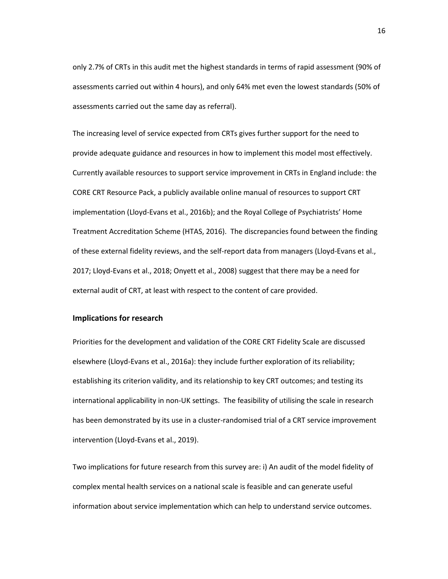only 2.7% of CRTs in this audit met the highest standards in terms of rapid assessment (90% of assessments carried out within 4 hours), and only 64% met even the lowest standards (50% of assessments carried out the same day as referral).

The increasing level of service expected from CRTs gives further support for the need to provide adequate guidance and resources in how to implement this model most effectively. Currently available resources to support service improvement in CRTs in England include: the CORE CRT Resource Pack, a publicly available online manual of resources to support CRT implementation (Lloyd-Evans et al., 2016b); and the Royal College of Psychiatrists' Home Treatment Accreditation Scheme (HTAS, 2016). The discrepancies found between the finding of these external fidelity reviews, and the self-report data from managers (Lloyd-Evans et al., 2017; Lloyd-Evans et al., 2018; Onyett et al., 2008) suggest that there may be a need for external audit of CRT, at least with respect to the content of care provided.

### **Implications for research**

Priorities for the development and validation of the CORE CRT Fidelity Scale are discussed elsewhere (Lloyd-Evans et al., 2016a): they include further exploration of its reliability; establishing its criterion validity, and its relationship to key CRT outcomes; and testing its international applicability in non-UK settings. The feasibility of utilising the scale in research has been demonstrated by its use in a cluster-randomised trial of a CRT service improvement intervention (Lloyd-Evans et al., 2019).

Two implications for future research from this survey are: i) An audit of the model fidelity of complex mental health services on a national scale is feasible and can generate useful information about service implementation which can help to understand service outcomes.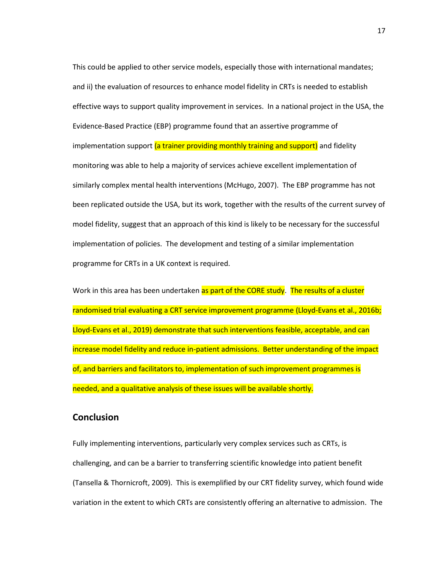This could be applied to other service models, especially those with international mandates; and ii) the evaluation of resources to enhance model fidelity in CRTs is needed to establish effective ways to support quality improvement in services. In a national project in the USA, the Evidence-Based Practice (EBP) programme found that an assertive programme of implementation support (a trainer providing monthly training and support) and fidelity monitoring was able to help a majority of services achieve excellent implementation of similarly complex mental health interventions (McHugo, 2007). The EBP programme has not been replicated outside the USA, but its work, together with the results of the current survey of model fidelity, suggest that an approach of this kind is likely to be necessary for the successful implementation of policies. The development and testing of a similar implementation programme for CRTs in a UK context is required.

Work in this area has been undertaken as part of the CORE study. The results of a cluster randomised trial evaluating a CRT service improvement programme (Lloyd-Evans et al., 2016b; Lloyd-Evans et al., 2019) demonstrate that such interventions feasible, acceptable, and can increase model fidelity and reduce in-patient admissions. Better understanding of the impact of, and barriers and facilitators to, implementation of such improvement programmes is needed, and a qualitative analysis of these issues will be available shortly.

# **Conclusion**

Fully implementing interventions, particularly very complex services such as CRTs, is challenging, and can be a barrier to transferring scientific knowledge into patient benefit (Tansella & Thornicroft, 2009). This is exemplified by our CRT fidelity survey, which found wide variation in the extent to which CRTs are consistently offering an alternative to admission. The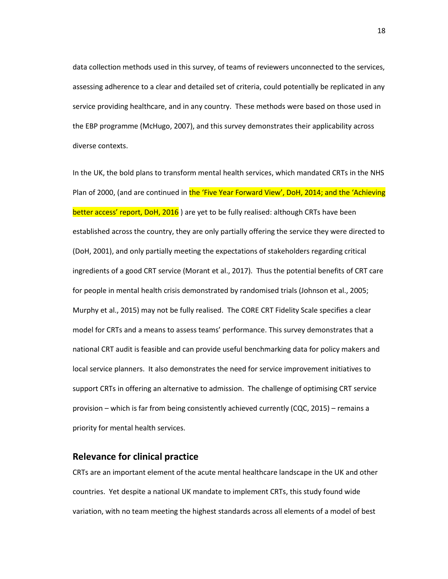data collection methods used in this survey, of teams of reviewers unconnected to the services, assessing adherence to a clear and detailed set of criteria, could potentially be replicated in any service providing healthcare, and in any country. These methods were based on those used in the EBP programme (McHugo, 2007), and this survey demonstrates their applicability across diverse contexts.

In the UK, the bold plans to transform mental health services, which mandated CRTs in the NHS Plan of 2000, (and are continued in the 'Five Year Forward View', DoH, 2014; and the 'Achieving better access' report, DoH, 2016) are yet to be fully realised: although CRTs have been established across the country, they are only partially offering the service they were directed to (DoH, 2001), and only partially meeting the expectations of stakeholders regarding critical ingredients of a good CRT service (Morant et al., 2017). Thus the potential benefits of CRT care for people in mental health crisis demonstrated by randomised trials (Johnson et al., 2005; Murphy et al., 2015) may not be fully realised. The CORE CRT Fidelity Scale specifies a clear model for CRTs and a means to assess teams' performance. This survey demonstrates that a national CRT audit is feasible and can provide useful benchmarking data for policy makers and local service planners. It also demonstrates the need for service improvement initiatives to support CRTs in offering an alternative to admission. The challenge of optimising CRT service provision – which is far from being consistently achieved currently (CQC, 2015) – remains a priority for mental health services.

# **Relevance for clinical practice**

CRTs are an important element of the acute mental healthcare landscape in the UK and other countries. Yet despite a national UK mandate to implement CRTs, this study found wide variation, with no team meeting the highest standards across all elements of a model of best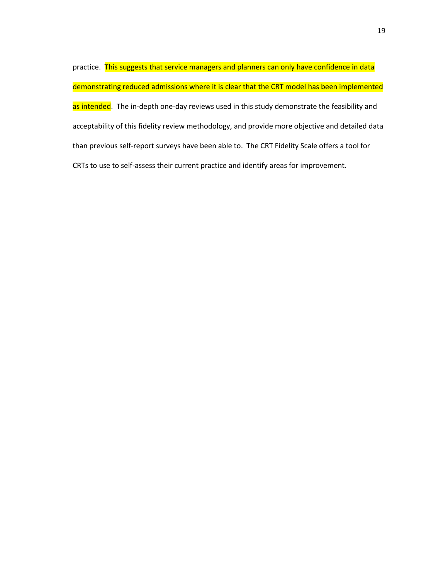practice. This suggests that service managers and planners can only have confidence in data demonstrating reduced admissions where it is clear that the CRT model has been implemented as intended. The in-depth one-day reviews used in this study demonstrate the feasibility and acceptability of this fidelity review methodology, and provide more objective and detailed data than previous self-report surveys have been able to. The CRT Fidelity Scale offers a tool for CRTs to use to self-assess their current practice and identify areas for improvement.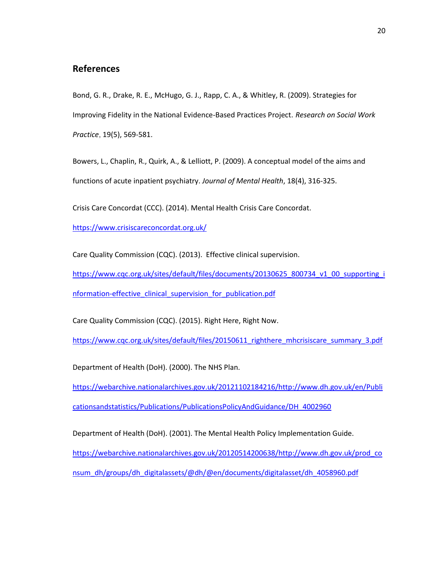# **References**

Bond, G. R., Drake, R. E., McHugo, G. J., Rapp, C. A., & Whitley, R. (2009). Strategies for Improving Fidelity in the National Evidence-Based Practices Project. *Research on Social Work Practice*, 19(5), 569-581.

Bowers, L., Chaplin, R., Quirk, A., & Lelliott, P. (2009). A conceptual model of the aims and functions of acute inpatient psychiatry. *Journal of Mental Health*, 18(4), 316-325.

Crisis Care Concordat (CCC). (2014). Mental Health Crisis Care Concordat.

<https://www.crisiscareconcordat.org.uk/>

Care Quality Commission (CQC). (2013). Effective clinical supervision.

[https://www.cqc.org.uk/sites/default/files/documents/20130625\\_800734\\_v1\\_00\\_supporting\\_i](https://www.cqc.org.uk/sites/default/files/documents/20130625_800734_v1_00_supporting_information-effective_clinical_supervision_for_publication.pdf) nformation-effective clinical supervision for publication.pdf

Care Quality Commission (CQC). (2015). Right Here, Right Now.

[https://www.cqc.org.uk/sites/default/files/20150611\\_righthere\\_mhcrisiscare\\_summary\\_3.pdf](https://www.cqc.org.uk/sites/default/files/20150611_righthere_mhcrisiscare_summary_3.pdf)

Department of Health (DoH). (2000). The NHS Plan.

[https://webarchive.nationalarchives.gov.uk/20121102184216/http://www.dh.gov.uk/en/Publi](https://webarchive.nationalarchives.gov.uk/20121102184216/http:/www.dh.gov.uk/en/Publicationsandstatistics/Publications/PublicationsPolicyAndGuidance/DH_4002960) [cationsandstatistics/Publications/PublicationsPolicyAndGuidance/DH\\_4002960](https://webarchive.nationalarchives.gov.uk/20121102184216/http:/www.dh.gov.uk/en/Publicationsandstatistics/Publications/PublicationsPolicyAndGuidance/DH_4002960)

Department of Health (DoH). (2001). The Mental Health Policy Implementation Guide. [https://webarchive.nationalarchives.gov.uk/20120514200638/http://www.dh.gov.uk/prod\\_co](https://webarchive.nationalarchives.gov.uk/20120514200638/http:/www.dh.gov.uk/prod_consum_dh/groups/dh_digitalassets/@dh/@en/documents/digitalasset/dh_4058960.pdf) [nsum\\_dh/groups/dh\\_digitalassets/@dh/@en/documents/digitalasset/dh\\_4058960.pdf](https://webarchive.nationalarchives.gov.uk/20120514200638/http:/www.dh.gov.uk/prod_consum_dh/groups/dh_digitalassets/@dh/@en/documents/digitalasset/dh_4058960.pdf)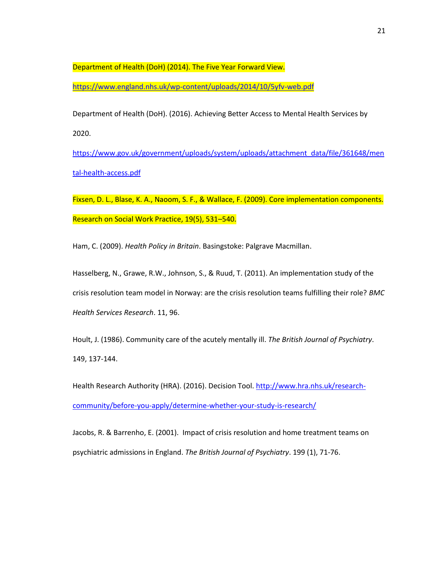Department of Health (DoH) (2014). The Five Year Forward View.

<https://www.england.nhs.uk/wp-content/uploads/2014/10/5yfv-web.pdf>

Department of Health (DoH). (2016). Achieving Better Access to Mental Health Services by 2020.

[https://www.gov.uk/government/uploads/system/uploads/attachment\\_data/file/361648/men](https://www.gov.uk/government/uploads/system/uploads/attachment_data/file/361648/mental-health-access.pdf) [tal-health-access.pdf](https://www.gov.uk/government/uploads/system/uploads/attachment_data/file/361648/mental-health-access.pdf)

Fixsen, D. L., Blase, K. A., Naoom, S. F., & Wallace, F. (2009). Core implementation components. Research on Social Work Practice, 19(5), 531–540.

Ham, C. (2009). *Health Policy in Britain*. Basingstoke: Palgrave Macmillan.

Hasselberg, N., Grawe, R.W., Johnson, S., & Ruud, T. (2011). An implementation study of the crisis resolution team model in Norway: are the crisis resolution teams fulfilling their role? *BMC Health Services Research*. 11, 96.

Hoult, J. (1986). Community care of the acutely mentally ill. *The British Journal of Psychiatry*. 149, 137-144.

Health Research Authority (HRA). (2016). Decision Tool. [http://www.hra.nhs.uk/research](http://www.hra.nhs.uk/research-community/before-you-apply/determine-whether-your-study-is-research/)[community/before-you-apply/determine-whether-your-study-is-research/](http://www.hra.nhs.uk/research-community/before-you-apply/determine-whether-your-study-is-research/)

Jacobs, R. & Barrenho, E. (2001). Impact of crisis resolution and home treatment teams on psychiatric admissions in England. *The British Journal of Psychiatry*. 199 (1), 71-76.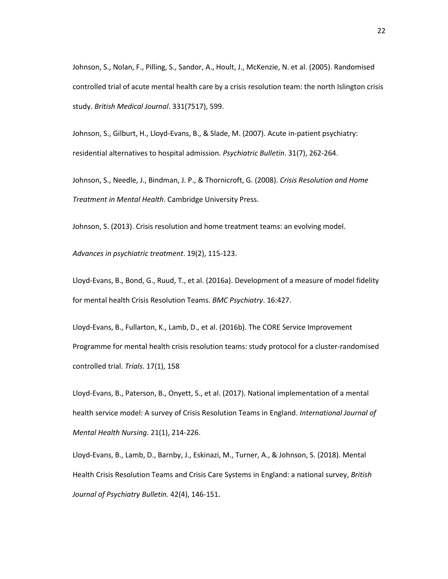Johnson, S., Nolan, F., Pilling, S., Sandor, A., Hoult, J., McKenzie, N. et al. (2005). Randomised controlled trial of acute mental health care by a crisis resolution team: the north Islington crisis study. *British Medical Journal*. 331(7517), 599.

Johnson, S., Gilburt, H., Lloyd-Evans, B., & Slade, M. (2007). Acute in-patient psychiatry: residential alternatives to hospital admission. *Psychiatric Bulletin*. 31(7), 262-264.

Johnson, S., Needle, J., Bindman, J. P., & Thornicroft, G. (2008). *Crisis Resolution and Home Treatment in Mental Health*. Cambridge University Press.

Johnson, S. (2013). Crisis resolution and home treatment teams: an evolving model.

*Advances in psychiatric treatment*. 19(2), 115-123.

Lloyd-Evans, B., Bond, G., Ruud, T., et al. (2016a). Development of a measure of model fidelity for mental health Crisis Resolution Teams. *[BMC Psychiatry](https://bmcpsychiatry.biomedcentral.com/)*. 16:427.

Lloyd-Evans, B., Fullarton, K., Lamb, D., et al. (2016b). The CORE Service Improvement Programme for mental health crisis resolution teams: study protocol for a cluster-randomised controlled trial. *Trials*. 17(1), 158

Lloyd-Evans, B., Paterson, B., Onyett, S., et al. (2017). National implementation of a mental health service model: A survey of Crisis Resolution Teams in England. *International Journal of Mental Health Nursing.* 21(1), 214-226.

Lloyd-Evans, B., Lamb, D., Barnby, J., Eskinazi, M., Turner, A., & Johnson, S. (2018). Mental Health Crisis Resolution Teams and Crisis Care Systems in England: a national survey, *British Journal of Psychiatry Bulletin.* 42(4), 146-151.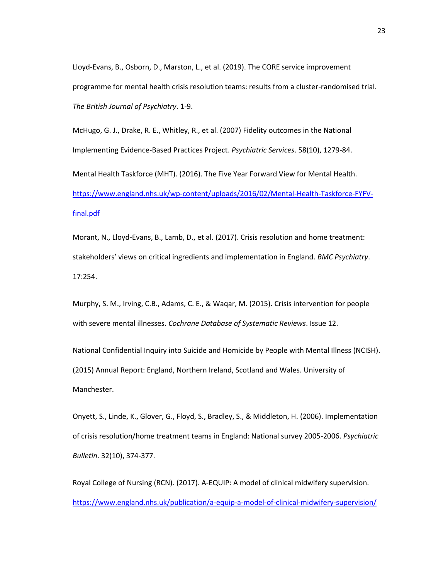Lloyd-Evans, B., Osborn, D., Marston, L., et al. (2019). The CORE service improvement programme for mental health crisis resolution teams: results from a cluster-randomised trial. *The British Journal of Psychiatry*. 1-9.

McHugo, G. J., Drake, R. E., Whitley, R., et al. (2007) Fidelity outcomes in the National Implementing Evidence-Based Practices Project. *Psychiatric Services*. 58(10), 1279-84. Mental Health Taskforce (MHT). (2016). The Five Year Forward View for Mental Health. [https://www.england.nhs.uk/wp-content/uploads/2016/02/Mental-Health-Taskforce-FYFV](https://www.england.nhs.uk/wp-content/uploads/2016/02/Mental-Health-Taskforce-FYFV-final.pdf)[final.pdf](https://www.england.nhs.uk/wp-content/uploads/2016/02/Mental-Health-Taskforce-FYFV-final.pdf)

Morant, N., Lloyd-Evans, B., Lamb, D., et al. (2017). Crisis resolution and home treatment: stakeholders' views on critical ingredients and implementation in England. *[BMC Psychiatry](https://bmcpsychiatry.biomedcentral.com/)*. 17:254.

Murphy, S. M., Irving, C.B., Adams, C. E., & Waqar, M. (2015). Crisis intervention for people with severe mental illnesses. *Cochrane Database of Systematic Reviews*. Issue 12.

National Confidential Inquiry into Suicide and Homicide by People with Mental Illness (NCISH). (2015) Annual Report: England, Northern Ireland, Scotland and Wales. University of Manchester.

Onyett, S., Linde, K., Glover, G., Floyd, S., Bradley, S., & Middleton, H. (2006). Implementation of crisis resolution/home treatment teams in England: National survey 2005-2006. *Psychiatric Bulletin*. 32(10), 374-377.

Royal College of Nursing (RCN). (2017). A-EQUIP: A model of clinical midwifery supervision. <https://www.england.nhs.uk/publication/a-equip-a-model-of-clinical-midwifery-supervision/>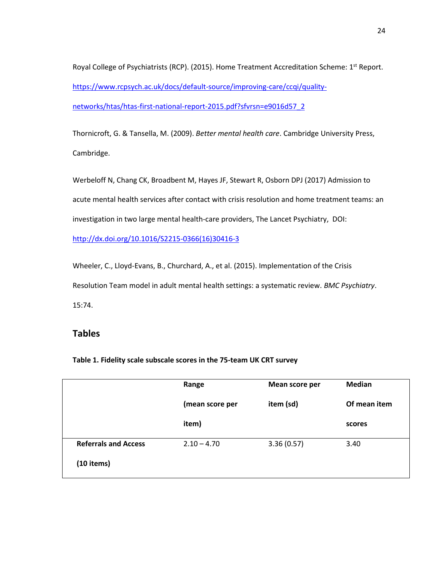Royal College of Psychiatrists (RCP). (2015). Home Treatment Accreditation Scheme: 1st Report. [https://www.rcpsych.ac.uk/docs/default-source/improving-care/ccqi/quality](https://www.rcpsych.ac.uk/docs/default-source/improving-care/ccqi/quality-networks/htas/htas-first-national-report-2015.pdf?sfvrsn=e9016d57_2)[networks/htas/htas-first-national-report-2015.pdf?sfvrsn=e9016d57\\_2](https://www.rcpsych.ac.uk/docs/default-source/improving-care/ccqi/quality-networks/htas/htas-first-national-report-2015.pdf?sfvrsn=e9016d57_2)

Thornicroft, G. & Tansella, M. (2009). *Better mental health care*. Cambridge University Press, Cambridge.

Werbeloff N, Chang CK, Broadbent M, Hayes JF, Stewart R, Osborn DPJ (2017) Admission to acute mental health services after contact with crisis resolution and home treatment teams: an investigation in two large mental health-care providers, The Lancet Psychiatry, DOI:

[http://dx.doi.org/10.1016/S2215-0366\(16\)30416-3](http://dx.doi.org/10.1016/S2215-0366(16)30416-3)

Wheeler, C., Lloyd-Evans, B., Churchard, A., et al. (2015). Implementation of the Crisis Resolution Team model in adult mental health settings: a systematic review. *BMC Psychiatry*. 15:74.

# **Tables**

|                             | Range           | Mean score per | Median       |
|-----------------------------|-----------------|----------------|--------------|
|                             | (mean score per | item (sd)      | Of mean item |
|                             | item)           |                | scores       |
| <b>Referrals and Access</b> | $2.10 - 4.70$   | 3.36(0.57)     | 3.40         |
| $(10$ items)                |                 |                |              |

**Table 1. Fidelity scale subscale scores in the 75-team UK CRT survey**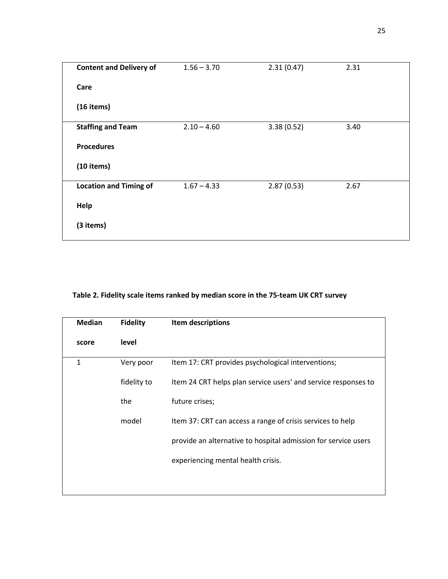| <b>Content and Delivery of</b> | $1.56 - 3.70$ | 2.31(0.47) | 2.31 |  |
|--------------------------------|---------------|------------|------|--|
| Care                           |               |            |      |  |
| $(16$ items)                   |               |            |      |  |
| <b>Staffing and Team</b>       | $2.10 - 4.60$ | 3.38(0.52) | 3.40 |  |
| <b>Procedures</b>              |               |            |      |  |
| $(10$ items)                   |               |            |      |  |
| <b>Location and Timing of</b>  | $1.67 - 4.33$ | 2.87(0.53) | 2.67 |  |
| Help                           |               |            |      |  |
| (3 items)                      |               |            |      |  |

# **Table 2. Fidelity scale items ranked by median score in the 75-team UK CRT survey**

| <b>Median</b> | <b>Fidelity</b> | Item descriptions                                              |
|---------------|-----------------|----------------------------------------------------------------|
| score         | level           |                                                                |
| 1             | Very poor       | Item 17: CRT provides psychological interventions;             |
|               | fidelity to     | Item 24 CRT helps plan service users' and service responses to |
|               | the             | future crises;                                                 |
|               | model           | Item 37: CRT can access a range of crisis services to help     |
|               |                 | provide an alternative to hospital admission for service users |
|               |                 | experiencing mental health crisis.                             |
|               |                 |                                                                |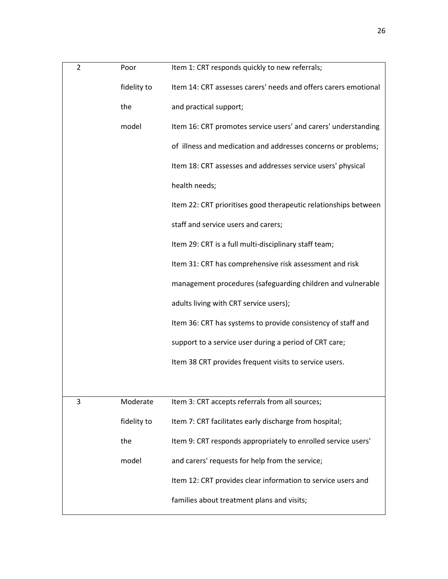| $\overline{2}$ | Poor        | Item 1: CRT responds quickly to new referrals;                  |
|----------------|-------------|-----------------------------------------------------------------|
|                | fidelity to | Item 14: CRT assesses carers' needs and offers carers emotional |
|                | the         | and practical support;                                          |
|                | model       | Item 16: CRT promotes service users' and carers' understanding  |
|                |             | of illness and medication and addresses concerns or problems;   |
|                |             | Item 18: CRT assesses and addresses service users' physical     |
|                |             | health needs;                                                   |
|                |             | Item 22: CRT prioritises good therapeutic relationships between |
|                |             | staff and service users and carers;                             |
|                |             | Item 29: CRT is a full multi-disciplinary staff team;           |
|                |             | Item 31: CRT has comprehensive risk assessment and risk         |
|                |             | management procedures (safeguarding children and vulnerable     |
|                |             | adults living with CRT service users);                          |
|                |             | Item 36: CRT has systems to provide consistency of staff and    |
|                |             | support to a service user during a period of CRT care;          |
|                |             | Item 38 CRT provides frequent visits to service users.          |
|                |             |                                                                 |
| 3              | Moderate    | Item 3: CRT accepts referrals from all sources;                 |
|                | fidelity to | Item 7: CRT facilitates early discharge from hospital;          |
|                | the         | Item 9: CRT responds appropriately to enrolled service users'   |
|                | model       | and carers' requests for help from the service;                 |
|                |             | Item 12: CRT provides clear information to service users and    |
|                |             | families about treatment plans and visits;                      |
|                |             |                                                                 |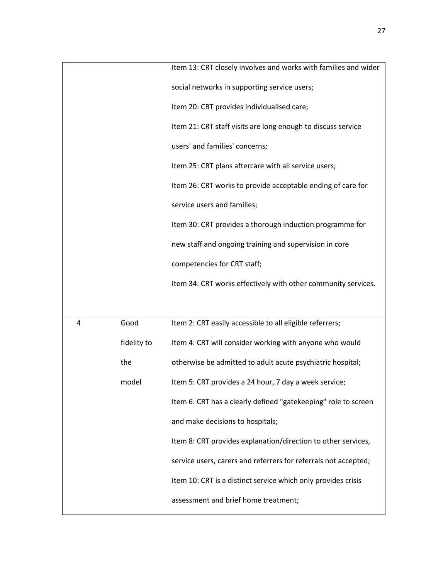|   |             | Item 13: CRT closely involves and works with families and wider |
|---|-------------|-----------------------------------------------------------------|
|   |             | social networks in supporting service users;                    |
|   |             | Item 20: CRT provides individualised care;                      |
|   |             | Item 21: CRT staff visits are long enough to discuss service    |
|   |             | users' and families' concerns;                                  |
|   |             | Item 25: CRT plans aftercare with all service users;            |
|   |             | Item 26: CRT works to provide acceptable ending of care for     |
|   |             | service users and families;                                     |
|   |             | Item 30: CRT provides a thorough induction programme for        |
|   |             | new staff and ongoing training and supervision in core          |
|   |             | competencies for CRT staff;                                     |
|   |             | Item 34: CRT works effectively with other community services.   |
|   |             |                                                                 |
| 4 | Good        | Item 2: CRT easily accessible to all eligible referrers;        |
|   | fidelity to | Item 4: CRT will consider working with anyone who would         |
|   | the         | otherwise be admitted to adult acute psychiatric hospital;      |
|   | model       | Item 5: CRT provides a 24 hour, 7 day a week service;           |
|   |             | Item 6: CRT has a clearly defined "gatekeeping" role to screen  |
|   |             | and make decisions to hospitals;                                |
|   |             | Item 8: CRT provides explanation/direction to other services,   |
|   |             | service users, carers and referrers for referrals not accepted; |
|   |             | Item 10: CRT is a distinct service which only provides crisis   |
|   |             | assessment and brief home treatment;                            |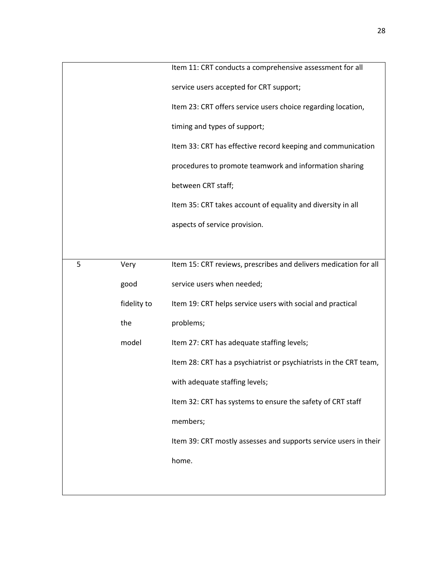|   |             | Item 11: CRT conducts a comprehensive assessment for all          |
|---|-------------|-------------------------------------------------------------------|
|   |             | service users accepted for CRT support;                           |
|   |             | Item 23: CRT offers service users choice regarding location,      |
|   |             | timing and types of support;                                      |
|   |             | Item 33: CRT has effective record keeping and communication       |
|   |             | procedures to promote teamwork and information sharing            |
|   |             | between CRT staff;                                                |
|   |             | Item 35: CRT takes account of equality and diversity in all       |
|   |             | aspects of service provision.                                     |
|   |             |                                                                   |
| 5 | Very        | Item 15: CRT reviews, prescribes and delivers medication for all  |
|   | good        | service users when needed;                                        |
|   | fidelity to | Item 19: CRT helps service users with social and practical        |
|   | the         | problems;                                                         |
|   | model       | Item 27: CRT has adequate staffing levels;                        |
|   |             | Item 28: CRT has a psychiatrist or psychiatrists in the CRT team, |
|   |             | with adequate staffing levels;                                    |
|   |             | Item 32: CRT has systems to ensure the safety of CRT staff        |
|   |             | members;                                                          |
|   |             | Item 39: CRT mostly assesses and supports service users in their  |
|   |             | home.                                                             |
|   |             |                                                                   |
|   |             |                                                                   |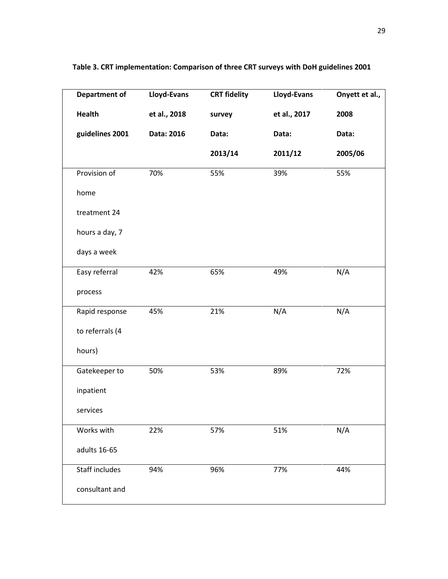| <b>Department of</b>  | Lloyd-Evans  | <b>CRT fidelity</b> | Lloyd-Evans  | Onyett et al., |
|-----------------------|--------------|---------------------|--------------|----------------|
| <b>Health</b>         | et al., 2018 | survey              | et al., 2017 | 2008           |
| guidelines 2001       | Data: 2016   | Data:               | Data:        | Data:          |
|                       |              | 2013/14             | 2011/12      | 2005/06        |
| Provision of          | 70%          | 55%                 | 39%          | 55%            |
| home                  |              |                     |              |                |
| treatment 24          |              |                     |              |                |
| hours a day, 7        |              |                     |              |                |
| days a week           |              |                     |              |                |
| Easy referral         | 42%          | 65%                 | 49%          | N/A            |
| process               |              |                     |              |                |
| Rapid response        | 45%          | 21%                 | N/A          | N/A            |
| to referrals (4       |              |                     |              |                |
| hours)                |              |                     |              |                |
| Gatekeeper to         | 50%          | 53%                 | 89%          | 72%            |
| inpatient             |              |                     |              |                |
| services              |              |                     |              |                |
| Works with            | 22%          | 57%                 | 51%          | N/A            |
| adults 16-65          |              |                     |              |                |
| <b>Staff includes</b> | 94%          | 96%                 | 77%          | 44%            |
| consultant and        |              |                     |              |                |

**Table 3. CRT implementation: Comparison of three CRT surveys with DoH guidelines 2001**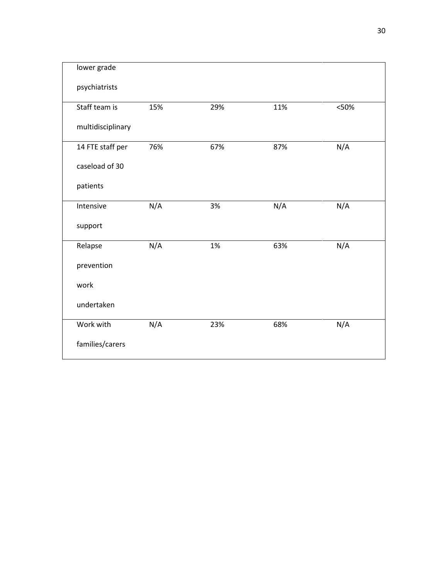| lower grade       |     |     |     |       |
|-------------------|-----|-----|-----|-------|
| psychiatrists     |     |     |     |       |
| Staff team is     | 15% | 29% | 11% | < 50% |
| multidisciplinary |     |     |     |       |
| 14 FTE staff per  | 76% | 67% | 87% | N/A   |
| caseload of 30    |     |     |     |       |
| patients          |     |     |     |       |
| Intensive         | N/A | 3%  | N/A | N/A   |
| support           |     |     |     |       |
| Relapse           | N/A | 1%  | 63% | N/A   |
| prevention        |     |     |     |       |
| work              |     |     |     |       |
| undertaken        |     |     |     |       |
| Work with         | N/A | 23% | 68% | N/A   |
| families/carers   |     |     |     |       |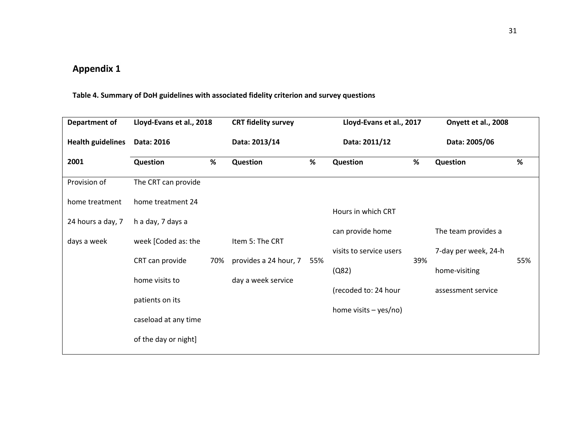# **Appendix 1**

# **Table 4. Summary of DoH guidelines with associated fidelity criterion and survey questions**

| Department of            | Lloyd-Evans et al., 2018 |     | <b>CRT fidelity survey</b> |     | Lloyd-Evans et al., 2017 |     | Onyett et al., 2008  |     |
|--------------------------|--------------------------|-----|----------------------------|-----|--------------------------|-----|----------------------|-----|
| <b>Health guidelines</b> | Data: 2016               |     | Data: 2013/14              |     | Data: 2011/12            |     | Data: 2005/06        |     |
| 2001                     | Question                 | %   | <b>Question</b>            | %   | Question                 | %   | Question             | %   |
| Provision of             | The CRT can provide      |     |                            |     |                          |     |                      |     |
| home treatment           | home treatment 24        |     |                            |     | Hours in which CRT       |     |                      |     |
| 24 hours a day, 7        | h a day, 7 days a        |     |                            |     |                          |     |                      |     |
| days a week              | week [Coded as: the      |     | Item 5: The CRT            |     | can provide home         |     | The team provides a  |     |
|                          | CRT can provide          | 70% | provides a 24 hour, 7      | 55% | visits to service users  | 39% | 7-day per week, 24-h | 55% |
|                          |                          |     |                            |     | (Q82)                    |     | home-visiting        |     |
|                          | home visits to           |     | day a week service         |     | (recoded to: 24 hour     |     | assessment service   |     |
|                          | patients on its          |     |                            |     |                          |     |                      |     |
|                          | caseload at any time     |     |                            |     | home visits $-$ yes/no)  |     |                      |     |
|                          | of the day or night]     |     |                            |     |                          |     |                      |     |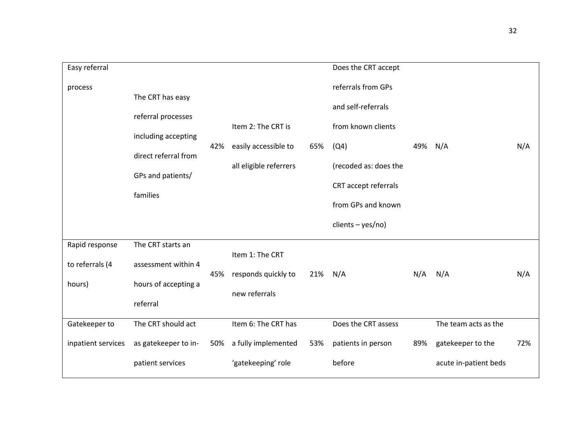| Easy referral      |                      |     |                        |     | Does the CRT accept   |     |                       |     |
|--------------------|----------------------|-----|------------------------|-----|-----------------------|-----|-----------------------|-----|
| process            | The CRT has easy     |     |                        |     | referrals from GPs    |     |                       |     |
|                    | referral processes   |     |                        |     | and self-referrals    |     |                       |     |
|                    | including accepting  |     | Item 2: The CRT is     |     | from known clients    |     |                       |     |
|                    | direct referral from | 42% | easily accessible to   | 65% | (Q4)                  | 49% | N/A                   | N/A |
|                    |                      |     | all eligible referrers |     | (recoded as: does the |     |                       |     |
|                    | GPs and patients/    |     |                        |     | CRT accept referrals  |     |                       |     |
|                    | families             |     |                        |     | from GPs and known    |     |                       |     |
|                    |                      |     |                        |     | $clients - yes/no)$   |     |                       |     |
| Rapid response     | The CRT starts an    |     |                        |     |                       |     |                       |     |
| to referrals (4    | assessment within 4  |     | Item 1: The CRT        |     |                       |     |                       |     |
| hours)             | hours of accepting a | 45% | responds quickly to    | 21% | N/A                   | N/A | N/A                   | N/A |
|                    | referral             |     | new referrals          |     |                       |     |                       |     |
| Gatekeeper to      | The CRT should act   |     | Item 6: The CRT has    |     | Does the CRT assess   |     | The team acts as the  |     |
| inpatient services | as gatekeeper to in- | 50% | a fully implemented    | 53% | patients in person    | 89% | gatekeeper to the     | 72% |
|                    | patient services     |     | 'gatekeeping' role     |     | before                |     | acute in-patient beds |     |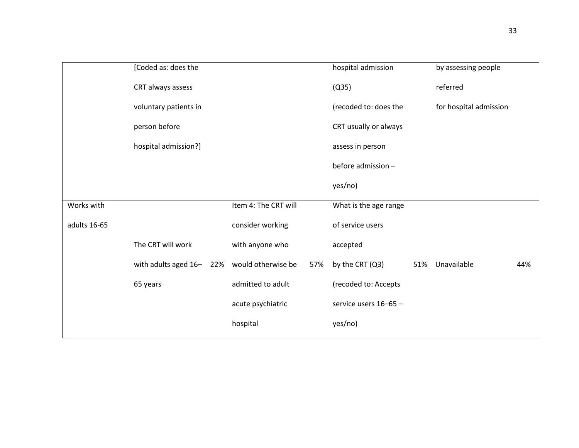|              | [Coded as: does the     |                      |     | hospital admission    |     | by assessing people    |     |
|--------------|-------------------------|----------------------|-----|-----------------------|-----|------------------------|-----|
|              | CRT always assess       |                      |     | (Q35)                 |     | referred               |     |
|              | voluntary patients in   |                      |     | (recoded to: does the |     | for hospital admission |     |
|              | person before           |                      |     | CRT usually or always |     |                        |     |
|              | hospital admission?]    |                      |     | assess in person      |     |                        |     |
|              |                         |                      |     | before admission -    |     |                        |     |
|              |                         |                      |     | yes/no)               |     |                        |     |
| Works with   |                         | Item 4: The CRT will |     | What is the age range |     |                        |     |
| adults 16-65 |                         | consider working     |     | of service users      |     |                        |     |
|              | The CRT will work       | with anyone who      |     | accepted              |     |                        |     |
|              | with adults aged 16-22% | would otherwise be   | 57% | by the CRT (Q3)       | 51% | Unavailable            | 44% |
|              | 65 years                | admitted to adult    |     | (recoded to: Accepts  |     |                        |     |
|              |                         | acute psychiatric    |     | service users 16-65 - |     |                        |     |
|              |                         | hospital             |     | yes/no)               |     |                        |     |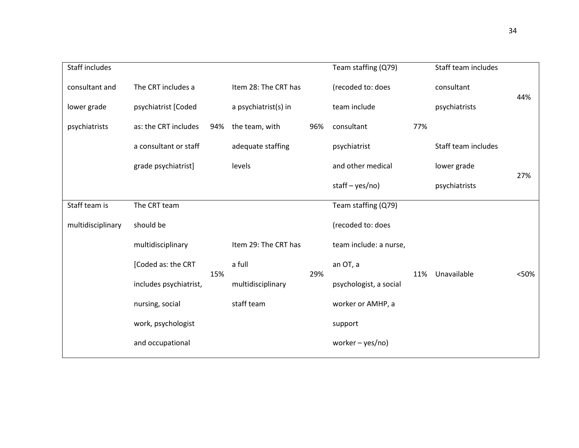| Staff includes    |                        |     |                      |     | Team staffing (Q79)    |     | Staff team includes |      |
|-------------------|------------------------|-----|----------------------|-----|------------------------|-----|---------------------|------|
| consultant and    | The CRT includes a     |     | Item 28: The CRT has |     | (recoded to: does      |     | consultant          | 44%  |
| lower grade       | psychiatrist [Coded    |     | a psychiatrist(s) in |     | team include           |     | psychiatrists       |      |
| psychiatrists     | as: the CRT includes   | 94% | the team, with       | 96% | consultant             | 77% |                     |      |
|                   | a consultant or staff  |     | adequate staffing    |     | psychiatrist           |     | Staff team includes |      |
|                   | grade psychiatrist]    |     | levels               |     | and other medical      |     | lower grade         |      |
|                   |                        |     |                      |     | staff $-$ yes/no)      |     | psychiatrists       | 27%  |
| Staff team is     | The CRT team           |     |                      |     | Team staffing (Q79)    |     |                     |      |
| multidisciplinary | should be              |     |                      |     | (recoded to: does      |     |                     |      |
|                   | multidisciplinary      |     | Item 29: The CRT has |     | team include: a nurse, |     |                     |      |
|                   | [Coded as: the CRT     | 15% | a full               | 29% | an OT, a               | 11% | Unavailable         | <50% |
|                   | includes psychiatrist, |     | multidisciplinary    |     | psychologist, a social |     |                     |      |
|                   | nursing, social        |     | staff team           |     | worker or AMHP, a      |     |                     |      |
|                   | work, psychologist     |     |                      |     | support                |     |                     |      |
|                   | and occupational       |     |                      |     | worker $-$ yes/no)     |     |                     |      |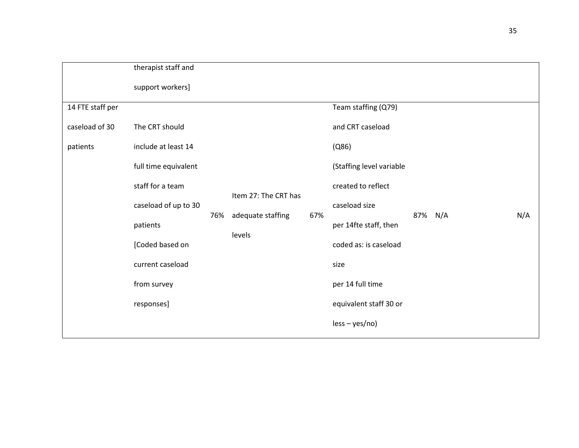|                  | therapist staff and  |     |                             |     |                          |     |     |     |
|------------------|----------------------|-----|-----------------------------|-----|--------------------------|-----|-----|-----|
|                  | support workers]     |     |                             |     |                          |     |     |     |
| 14 FTE staff per |                      |     |                             |     | Team staffing (Q79)      |     |     |     |
| caseload of 30   | The CRT should       |     |                             |     | and CRT caseload         |     |     |     |
| patients         | include at least 14  |     |                             |     | (0.86)                   |     |     |     |
|                  | full time equivalent |     |                             |     | (Staffing level variable |     |     |     |
|                  | staff for a team     |     | created to reflect          |     |                          |     |     |     |
|                  | caseload of up to 30 |     | Item 27: The CRT has        |     | caseload size            |     |     |     |
|                  | patients             | 76% | adequate staffing<br>levels | 67% | per 14fte staff, then    | 87% | N/A | N/A |
|                  | [Coded based on      |     |                             |     | coded as: is caseload    |     |     |     |
|                  | current caseload     |     |                             |     | size                     |     |     |     |
|                  | from survey          |     |                             |     | per 14 full time         |     |     |     |
|                  | responses]           |     |                             |     | equivalent staff 30 or   |     |     |     |
|                  |                      |     |                             |     | $less - yes/no)$         |     |     |     |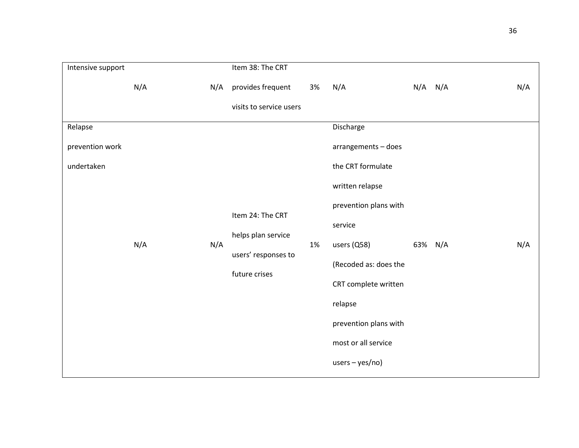| Intensive support |     |     | Item 38: The CRT                          |    |                       |         |     |     |
|-------------------|-----|-----|-------------------------------------------|----|-----------------------|---------|-----|-----|
|                   | N/A | N/A | provides frequent                         | 3% | N/A                   | N/A     | N/A | N/A |
|                   |     |     | visits to service users                   |    |                       |         |     |     |
| Relapse           |     |     |                                           |    | Discharge             |         |     |     |
| prevention work   |     |     |                                           |    | arrangements - does   |         |     |     |
| undertaken        |     |     |                                           |    | the CRT formulate     |         |     |     |
|                   |     |     |                                           |    | written relapse       |         |     |     |
|                   |     |     | Item 24: The CRT                          |    | prevention plans with |         |     |     |
|                   |     |     |                                           |    | service               |         |     |     |
|                   | N/A | N/A | helps plan service<br>users' responses to | 1% | users (Q58)           | 63% N/A |     | N/A |
|                   |     |     | future crises                             |    | (Recoded as: does the |         |     |     |
|                   |     |     |                                           |    | CRT complete written  |         |     |     |
|                   |     |     |                                           |    | relapse               |         |     |     |
|                   |     |     |                                           |    | prevention plans with |         |     |     |
|                   |     |     |                                           |    | most or all service   |         |     |     |
|                   |     |     |                                           |    | $users - yes/no)$     |         |     |     |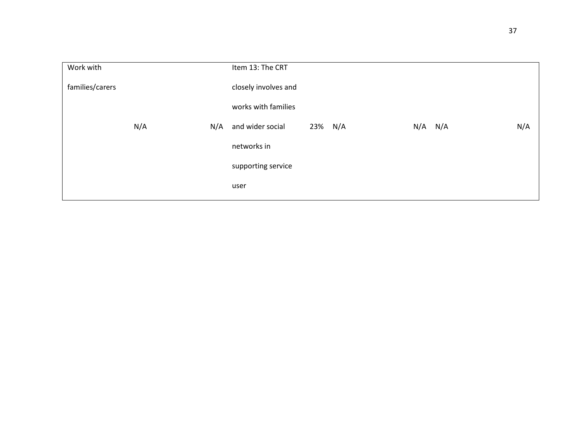| Item 13: The CRT                                  |
|---------------------------------------------------|
| closely involves and                              |
| works with families                               |
| N/A<br>$N/A$ $N/A$<br>and wider social<br>23% N/A |
| networks in                                       |
| supporting service                                |
| user                                              |
| N/A                                               |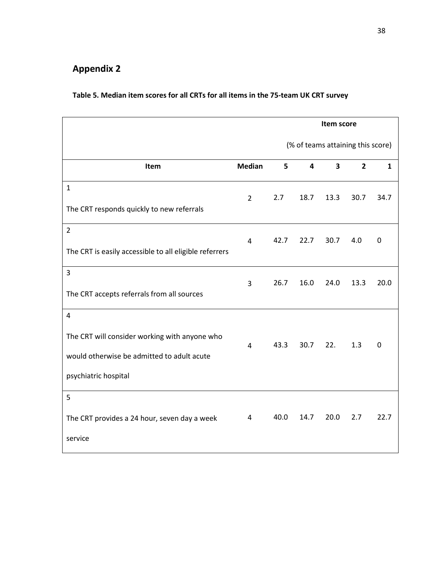# **Appendix 2**

# **Table 5. Median item scores for all CRTs for all items in the 75-team UK CRT survey**

|                                                        |                | Item score                        |      |      |                |              |  |
|--------------------------------------------------------|----------------|-----------------------------------|------|------|----------------|--------------|--|
|                                                        |                | (% of teams attaining this score) |      |      |                |              |  |
| Item                                                   | <b>Median</b>  | 5                                 | 4    | 3    | $\overline{2}$ | $\mathbf{1}$ |  |
| $\mathbf 1$                                            | $\overline{2}$ | 2.7                               | 18.7 | 13.3 | 30.7           | 34.7         |  |
| The CRT responds quickly to new referrals              |                |                                   |      |      |                |              |  |
| $\overline{2}$                                         | 4              | 42.7                              | 22.7 | 30.7 | 4.0            | 0            |  |
| The CRT is easily accessible to all eligible referrers |                |                                   |      |      |                |              |  |
| 3                                                      | 3              | 26.7                              | 16.0 | 24.0 | 13.3           | 20.0         |  |
| The CRT accepts referrals from all sources             |                |                                   |      |      |                |              |  |
| $\overline{4}$                                         |                |                                   |      |      |                |              |  |
| The CRT will consider working with anyone who          | 4              | 43.3                              | 30.7 | 22.  | 1.3            | 0            |  |
| would otherwise be admitted to adult acute             |                |                                   |      |      |                |              |  |
| psychiatric hospital                                   |                |                                   |      |      |                |              |  |
| 5                                                      |                |                                   |      |      |                |              |  |
| The CRT provides a 24 hour, seven day a week           | 4              | 40.0                              | 14.7 | 20.0 | 2.7            | 22.7         |  |
| service                                                |                |                                   |      |      |                |              |  |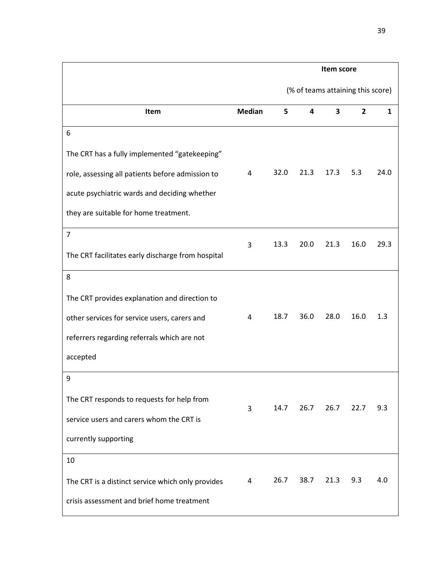|                                                   |               | Item score                        |      |      |                |              |  |
|---------------------------------------------------|---------------|-----------------------------------|------|------|----------------|--------------|--|
|                                                   |               | (% of teams attaining this score) |      |      |                |              |  |
| Item                                              | <b>Median</b> | 5                                 | 4    | 3    | $\overline{2}$ | $\mathbf{1}$ |  |
| 6                                                 |               |                                   |      |      |                |              |  |
| The CRT has a fully implemented "gatekeeping"     |               |                                   |      |      |                |              |  |
| role, assessing all patients before admission to  | 4             | 32.0                              | 21.3 | 17.3 | 5.3            | 24.0         |  |
| acute psychiatric wards and deciding whether      |               |                                   |      |      |                |              |  |
| they are suitable for home treatment.             |               |                                   |      |      |                |              |  |
| $\overline{7}$                                    | 3             | 13.3                              | 20.0 | 21.3 | 16.0           | 29.3         |  |
| The CRT facilitates early discharge from hospital |               |                                   |      |      |                |              |  |
| 8                                                 |               |                                   |      |      |                |              |  |
| The CRT provides explanation and direction to     |               |                                   |      |      |                |              |  |
| other services for service users, carers and      | 4             | 18.7                              | 36.0 | 28.0 | 16.0           | 1.3          |  |
| referrers regarding referrals which are not       |               |                                   |      |      |                |              |  |
| accepted                                          |               |                                   |      |      |                |              |  |
| 9                                                 |               |                                   |      |      |                |              |  |
| The CRT responds to requests for help from        | 3             | 14.7                              | 26.7 | 26.7 | 22.7           | 9.3          |  |
| service users and carers whom the CRT is          |               |                                   |      |      |                |              |  |
| currently supporting                              |               |                                   |      |      |                |              |  |
| 10                                                |               |                                   |      |      |                |              |  |
| The CRT is a distinct service which only provides | 4             | 26.7                              | 38.7 | 21.3 | 9.3            | 4.0          |  |
| crisis assessment and brief home treatment        |               |                                   |      |      |                |              |  |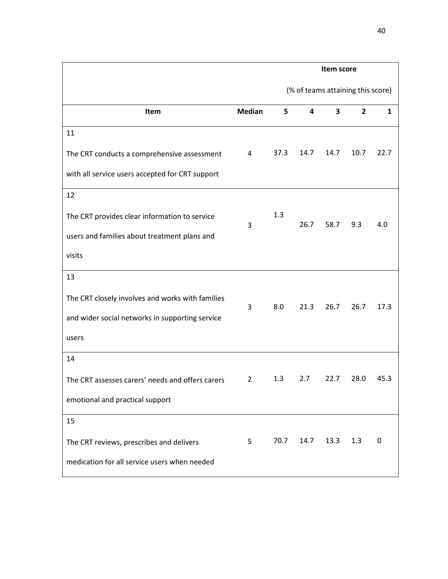|                                                  |                | Item score                        |      |                         |              |      |  |
|--------------------------------------------------|----------------|-----------------------------------|------|-------------------------|--------------|------|--|
|                                                  |                | (% of teams attaining this score) |      |                         |              |      |  |
| Item                                             | <b>Median</b>  | 5                                 | 4    | $\overline{\mathbf{3}}$ | $\mathbf{2}$ | 1    |  |
| 11                                               |                |                                   |      |                         |              |      |  |
| The CRT conducts a comprehensive assessment      | 4              | 37.3                              | 14.7 | 14.7                    | 10.7         | 22.7 |  |
| with all service users accepted for CRT support  |                |                                   |      |                         |              |      |  |
| 12                                               |                |                                   |      |                         |              |      |  |
| The CRT provides clear information to service    | 3              | 1.3                               | 26.7 | 58.7                    | 9.3          | 4.0  |  |
| users and families about treatment plans and     |                |                                   |      |                         |              |      |  |
| visits                                           |                |                                   |      |                         |              |      |  |
| 13                                               |                |                                   |      |                         |              |      |  |
| The CRT closely involves and works with families | 3              | 8.0                               | 21.3 | 26.7                    | 26.7         | 17.3 |  |
| and wider social networks in supporting service  |                |                                   |      |                         |              |      |  |
| users                                            |                |                                   |      |                         |              |      |  |
| 14                                               |                |                                   |      |                         |              |      |  |
| The CRT assesses carers' needs and offers carers | $\overline{2}$ | 1.3                               | 2.7  | 22.7                    | 28.0         | 45.3 |  |
| emotional and practical support                  |                |                                   |      |                         |              |      |  |
| 15                                               |                |                                   |      |                         |              |      |  |
| The CRT reviews, prescribes and delivers         | 5              | 70.7                              | 14.7 | 13.3                    | 1.3          | 0    |  |
| medication for all service users when needed     |                |                                   |      |                         |              |      |  |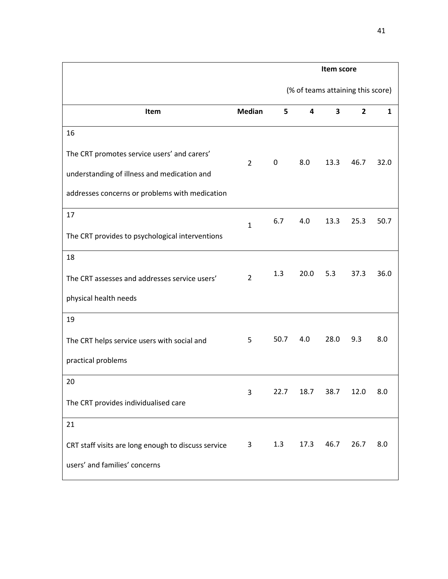|                                                     |                | Item score                        |      |      |                |              |  |
|-----------------------------------------------------|----------------|-----------------------------------|------|------|----------------|--------------|--|
|                                                     |                | (% of teams attaining this score) |      |      |                |              |  |
| Item                                                | <b>Median</b>  | 5                                 | 4    | 3    | $\overline{2}$ | $\mathbf{1}$ |  |
| 16                                                  |                |                                   |      |      |                |              |  |
| The CRT promotes service users' and carers'         | $\overline{2}$ | $\mathbf 0$                       | 8.0  | 13.3 | 46.7           | 32.0         |  |
| understanding of illness and medication and         |                |                                   |      |      |                |              |  |
| addresses concerns or problems with medication      |                |                                   |      |      |                |              |  |
| 17                                                  | $\mathbf{1}$   | 6.7                               | 4.0  | 13.3 | 25.3           | 50.7         |  |
| The CRT provides to psychological interventions     |                |                                   |      |      |                |              |  |
| 18                                                  |                |                                   |      |      |                |              |  |
| The CRT assesses and addresses service users'       | $\overline{2}$ | 1.3                               | 20.0 | 5.3  | 37.3           | 36.0         |  |
| physical health needs                               |                |                                   |      |      |                |              |  |
| 19                                                  |                |                                   |      |      |                |              |  |
| The CRT helps service users with social and         | 5              | 50.7                              | 4.0  | 28.0 | 9.3            | 8.0          |  |
| practical problems                                  |                |                                   |      |      |                |              |  |
| 20                                                  | 3              | 22.7                              | 18.7 | 38.7 | 12.0           | 8.0          |  |
| The CRT provides individualised care                |                |                                   |      |      |                |              |  |
| 21                                                  |                |                                   |      |      |                |              |  |
| CRT staff visits are long enough to discuss service | 3              | 1.3                               | 17.3 | 46.7 | 26.7           | 8.0          |  |
| users' and families' concerns                       |                |                                   |      |      |                |              |  |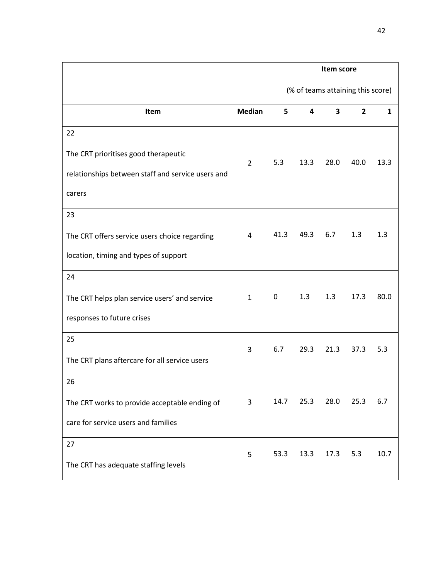|                                                   |                | Item score                        |      |                         |                |              |  |
|---------------------------------------------------|----------------|-----------------------------------|------|-------------------------|----------------|--------------|--|
|                                                   |                | (% of teams attaining this score) |      |                         |                |              |  |
| Item                                              | <b>Median</b>  | 5                                 | 4    | $\overline{\mathbf{3}}$ | $\overline{2}$ | $\mathbf{1}$ |  |
| 22                                                |                |                                   |      |                         |                |              |  |
| The CRT prioritises good therapeutic              | $\overline{2}$ | 5.3                               | 13.3 | 28.0                    | 40.0           | 13.3         |  |
| relationships between staff and service users and |                |                                   |      |                         |                |              |  |
| carers                                            |                |                                   |      |                         |                |              |  |
| 23                                                |                |                                   |      |                         |                |              |  |
| The CRT offers service users choice regarding     | 4              | 41.3                              | 49.3 | 6.7                     | 1.3            | 1.3          |  |
| location, timing and types of support             |                |                                   |      |                         |                |              |  |
| 24                                                |                |                                   |      |                         |                |              |  |
| The CRT helps plan service users' and service     | $\mathbf{1}$   | 0                                 | 1.3  | 1.3                     | 17.3           | 80.0         |  |
| responses to future crises                        |                |                                   |      |                         |                |              |  |
| 25                                                | 3              | 6.7                               | 29.3 | 21.3                    | 37.3           | 5.3          |  |
| The CRT plans aftercare for all service users     |                |                                   |      |                         |                |              |  |
| 26                                                |                |                                   |      |                         |                |              |  |
| The CRT works to provide acceptable ending of     | 3              | 14.7                              | 25.3 | 28.0                    | 25.3           | 6.7          |  |
| care for service users and families               |                |                                   |      |                         |                |              |  |
| 27                                                | 5              | 53.3                              | 13.3 | 17.3                    | 5.3            | 10.7         |  |
| The CRT has adequate staffing levels              |                |                                   |      |                         |                |              |  |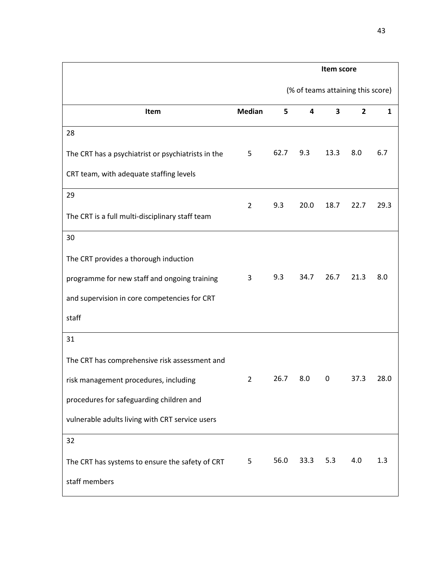|                                                    |                | Item score                        |      |      |              |              |  |
|----------------------------------------------------|----------------|-----------------------------------|------|------|--------------|--------------|--|
|                                                    |                | (% of teams attaining this score) |      |      |              |              |  |
| Item                                               | <b>Median</b>  | 5                                 | 4    | 3    | $\mathbf{2}$ | $\mathbf{1}$ |  |
| 28                                                 |                |                                   |      |      |              |              |  |
| The CRT has a psychiatrist or psychiatrists in the | 5              | 62.7                              | 9.3  | 13.3 | 8.0          | 6.7          |  |
| CRT team, with adequate staffing levels            |                |                                   |      |      |              |              |  |
| 29                                                 | $\overline{2}$ | 9.3                               | 20.0 | 18.7 | 22.7         | 29.3         |  |
| The CRT is a full multi-disciplinary staff team    |                |                                   |      |      |              |              |  |
| 30                                                 |                |                                   |      |      |              |              |  |
| The CRT provides a thorough induction              |                |                                   |      |      |              |              |  |
| programme for new staff and ongoing training       | 3              | 9.3                               | 34.7 | 26.7 | 21.3         | 8.0          |  |
| and supervision in core competencies for CRT       |                |                                   |      |      |              |              |  |
| staff                                              |                |                                   |      |      |              |              |  |
| 31                                                 |                |                                   |      |      |              |              |  |
| The CRT has comprehensive risk assessment and      |                |                                   |      |      |              |              |  |
| risk management procedures, including              | $\overline{2}$ | 26.7                              | 8.0  | 0    | 37.3         | 28.0         |  |
| procedures for safeguarding children and           |                |                                   |      |      |              |              |  |
| vulnerable adults living with CRT service users    |                |                                   |      |      |              |              |  |
| 32                                                 |                |                                   |      |      |              |              |  |
| The CRT has systems to ensure the safety of CRT    | 5              | 56.0                              | 33.3 | 5.3  | 4.0          | 1.3          |  |
| staff members                                      |                |                                   |      |      |              |              |  |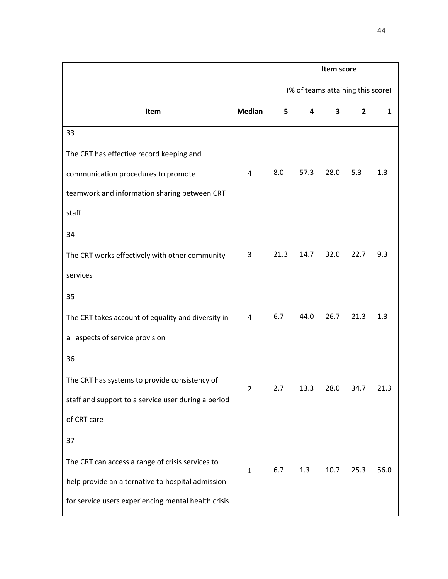|                                                     |               | Item score                        |      |      |                |              |  |
|-----------------------------------------------------|---------------|-----------------------------------|------|------|----------------|--------------|--|
|                                                     |               | (% of teams attaining this score) |      |      |                |              |  |
| Item                                                | <b>Median</b> | 5                                 | 4    | 3    | $\overline{2}$ | $\mathbf{1}$ |  |
| 33                                                  |               |                                   |      |      |                |              |  |
| The CRT has effective record keeping and            |               |                                   |      |      |                |              |  |
| communication procedures to promote                 | 4             | 8.0                               | 57.3 | 28.0 | 5.3            | 1.3          |  |
| teamwork and information sharing between CRT        |               |                                   |      |      |                |              |  |
| staff                                               |               |                                   |      |      |                |              |  |
| 34                                                  |               |                                   |      |      |                |              |  |
| The CRT works effectively with other community      | 3             | 21.3                              | 14.7 | 32.0 | 22.7           | 9.3          |  |
| services                                            |               |                                   |      |      |                |              |  |
| 35                                                  |               |                                   |      |      |                |              |  |
| The CRT takes account of equality and diversity in  | 4             | 6.7                               | 44.0 | 26.7 | 21.3           | 1.3          |  |
| all aspects of service provision                    |               |                                   |      |      |                |              |  |
| 36                                                  |               |                                   |      |      |                |              |  |
| The CRT has systems to provide consistency of       | $\mathcal{P}$ | 2.7                               | 13.3 | 28.0 | 34.7           | 21.3         |  |
| staff and support to a service user during a period |               |                                   |      |      |                |              |  |
| of CRT care                                         |               |                                   |      |      |                |              |  |
| 37                                                  |               |                                   |      |      |                |              |  |
| The CRT can access a range of crisis services to    | $\mathbf{1}$  | 6.7                               | 1.3  | 10.7 | 25.3           | 56.0         |  |
| help provide an alternative to hospital admission   |               |                                   |      |      |                |              |  |
| for service users experiencing mental health crisis |               |                                   |      |      |                |              |  |